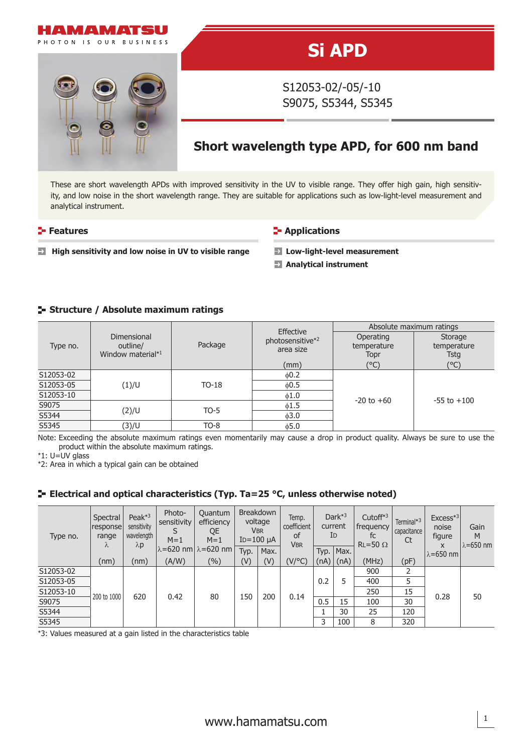

# **Si APD**

S12053-02/-05/-10 S9075, S5344, S5345

## **Short wavelength type APD, for 600 nm band**

These are short wavelength APDs with improved sensitivity in the UV to visible range. They offer high gain, high sensitivity, and low noise in the short wavelength range. They are suitable for applications such as low-light-level measurement and analytical instrument.

#### **Features CONSISTENT IN Applications**

**■** High sensitivity and low noise in UV to visible range **→** Low-light-level measurement

**Analytical instrument**

#### **Structure / Absolute maximum ratings**

| Type no.  |                                              |         | Effective                     | Absolute maximum ratings         |                                |  |  |
|-----------|----------------------------------------------|---------|-------------------------------|----------------------------------|--------------------------------|--|--|
|           | Dimensional<br>outline/<br>Window material*1 | Package | photosensitive*2<br>area size | Operating<br>temperature<br>Topr | Storage<br>temperature<br>Tstg |  |  |
|           |                                              |         | (mm)                          | (°C)                             | (°C)                           |  |  |
| S12053-02 |                                              | $TO-18$ | $\phi$ 0.2                    |                                  |                                |  |  |
| S12053-05 | (1)/U                                        |         | 0.5                           |                                  |                                |  |  |
| S12053-10 |                                              |         | $\phi$ 1.0                    | $-20$ to $+60$                   | $-55$ to $+100$                |  |  |
| S9075     | (2)/U                                        | TO-5    | $\phi$ 1.5                    |                                  |                                |  |  |
| S5344     |                                              |         | $\phi$ 3.0                    |                                  |                                |  |  |
| S5345     | (3)/U                                        | $TO-8$  | $\phi$ 5.0                    |                                  |                                |  |  |

Note: Exceeding the absolute maximum ratings even momentarily may cause a drop in product quality. Always be sure to use the product within the absolute maximum ratings.

\*1: U=UV glass

\*2: Area in which a typical gain can be obtained

#### **ELECTRIEGE 2018** FLECTRICAL CONSTRANTIES (Typ. Ta=25 °C, unless otherwise noted)

| Type no.  | Spectral<br>response<br>range<br>λ | Peak $*3$<br>sensitivity<br>wavelength<br>$\lambda$ p | Photo-<br>sensitivity<br>$M=1$ | Quantum<br>efficiency<br>QE<br>$M=1$<br>$\lambda$ =620 nm $\lambda$ =620 nm | <b>Breakdown</b><br>voltage<br><b>VBR</b><br>$ID=100 \mu A$ |      | Temp.<br>coefficient<br>0f<br><b>VBR</b> | Dar $k^{*3}$<br>current<br>ID |      | Cutoff $*3$<br>frequency<br>fc<br>$RL = 50 \Omega$ | Terminal* <sup>3</sup><br>capacitance<br>Ct | $Excess*3$<br>noise<br>figure<br>X | Gain<br>M<br>$\lambda$ =650 nm |
|-----------|------------------------------------|-------------------------------------------------------|--------------------------------|-----------------------------------------------------------------------------|-------------------------------------------------------------|------|------------------------------------------|-------------------------------|------|----------------------------------------------------|---------------------------------------------|------------------------------------|--------------------------------|
|           |                                    |                                                       |                                |                                                                             | Typ.                                                        | Max. |                                          | Typ.                          | Max. |                                                    |                                             | $\lambda = 650$ nm                 |                                |
|           | (nm)                               | (nm)                                                  | (A/W)                          | (%)                                                                         | (V)                                                         | (V)  | (V/°C)                                   | (nA)                          | (nA) | (MHz)                                              | (pF)                                        |                                    |                                |
| S12053-02 | 200 to 1000                        | 620                                                   | 0.42                           | 80                                                                          | 150                                                         | 200  | 0.14                                     | 0.2                           | 5    | 900                                                |                                             | 0.28                               | 50                             |
| S12053-05 |                                    |                                                       |                                |                                                                             |                                                             |      |                                          |                               |      | 400                                                | 5                                           |                                    |                                |
| S12053-10 |                                    |                                                       |                                |                                                                             |                                                             |      |                                          |                               |      | 250                                                | 15                                          |                                    |                                |
| S9075     |                                    |                                                       |                                |                                                                             |                                                             |      |                                          | 0.5                           | 15   | 100                                                | 30                                          |                                    |                                |
| S5344     |                                    |                                                       |                                |                                                                             |                                                             |      |                                          |                               | 30   | 25                                                 | 120                                         |                                    |                                |
| S5345     |                                    |                                                       |                                |                                                                             |                                                             |      |                                          | 3                             | 100  | 8                                                  | 320                                         |                                    |                                |

\*3: Values measured at a gain listed in the characteristics table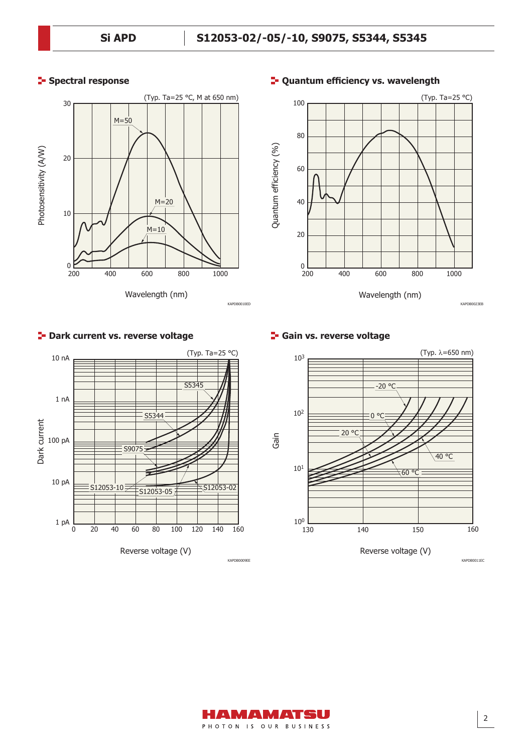### **Spectral response**





#### **<sup>1</sup>- Quantum efficiency vs. wavelength**





2



**P** Dark current vs. reverse voltage



Reverse voltage (V)

VIZNMENT PHOTON IS OUR BUSINESS

KAPDB0009EE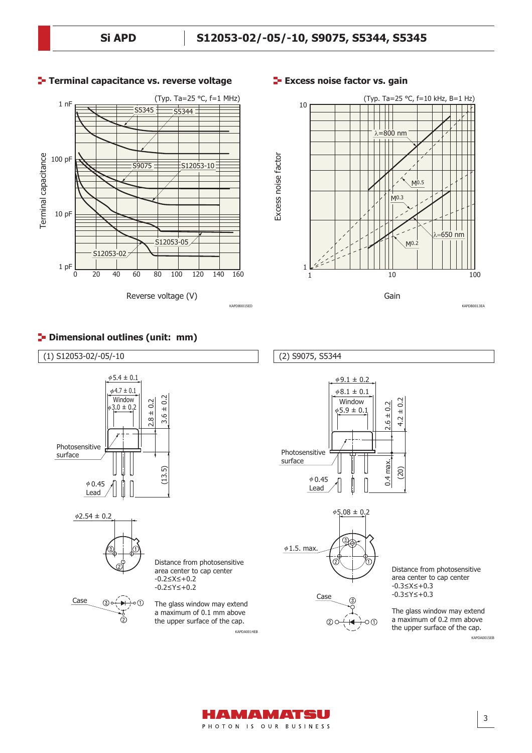

#### **T**- Terminal capacitance vs. reverse voltage **EXECO EXECO EXECO EXECUTE:** Terminal capacitance vs.



#### **P** Dimensional outlines (unit: mm)

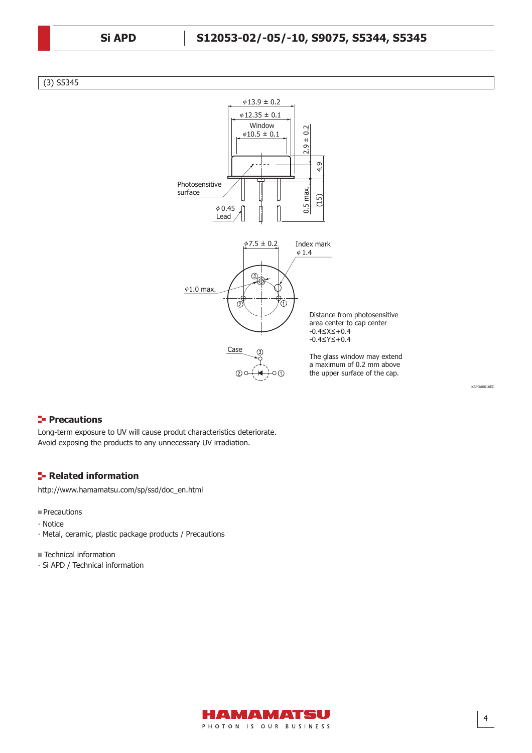#### (3) S5345



#### **Precautions**

Long-term exposure to UV will cause produt characteristics deteriorate. Avoid exposing the products to any unnecessary UV irradiation.

#### **Related information**

http://www.hamamatsu.com/sp/ssd/doc\_en.html

#### **Precautions**

- ∙ Notice
- ∙ Metal, ceramic, plastic package products / Precautions

Technical information

∙ Si APD / Technical information



4

KAPDA0016EC